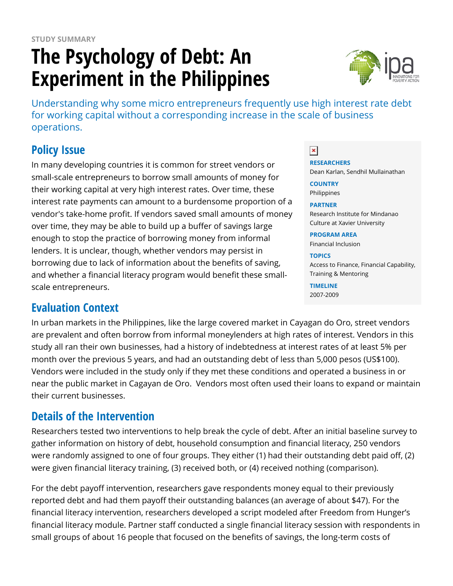# **The Psychology of Debt: An Experiment in the Philippines**



Understanding why some micro entrepreneurs frequently use high interest rate debt for working capital without a corresponding increase in the scale of business operations.

## **Policy Issue**

In many developing countries it is common for street vendors or small-scale entrepreneurs to borrow small amounts of money for their working capital at very high interest rates. Over time, these interest rate payments can amount to a burdensome proportion of a vendor's take-home profit. If vendors saved small amounts of money over time, they may be able to build up a buffer of savings large enough to stop the practice of borrowing money from informal lenders. It is unclear, though, whether vendors may persist in borrowing due to lack of information about the benefits of saving, and whether a financial literacy program would benefit these smallscale entrepreneurs.

### **Evaluation Context**

In urban markets in the Philippines, like the large covered market in Cayagan do Oro, street vendors are prevalent and often borrow from informal moneylenders at high rates of interest. Vendors in this study all ran their own businesses, had a history of indebtedness at interest rates of at least 5% per month over the previous 5 years, and had an outstanding debt of less than 5,000 pesos (US\$100). Vendors were included in the study only if they met these conditions and operated a business in or near the public market in Cagayan de Oro. Vendors most often used their loans to expand or maintain their current businesses.

### **Details of the Intervention**

Researchers tested two interventions to help break the cycle of debt. After an initial baseline survey to gather information on history of debt, household consumption and financial literacy, 250 vendors were randomly assigned to one of four groups. They either (1) had their outstanding debt paid off, (2) were given financial literacy training, (3) received both, or (4) received nothing (comparison).

For the debt payoff intervention, researchers gave respondents money equal to their previously reported debt and had them payoff their outstanding balances (an average of about \$47). For the financial literacy intervention, researchers developed a script modeled after Freedom from Hunger's financial literacy module. Partner staff conducted a single financial literacy session with respondents in small groups of about 16 people that focused on the benefits of savings, the long-term costs of

 $\pmb{\times}$ 

**RESEARCHERS** Dean Karlan, Sendhil Mullainathan **COUNTRY**

Philippines

#### **PARTNER**

Research Institute for Mindanao Culture at Xavier University

**PROGRAM AREA** Financial Inclusion

**TOPICS**

Access to Finance, Financial Capability, Training & Mentoring

**TIMELINE** 2007-2009